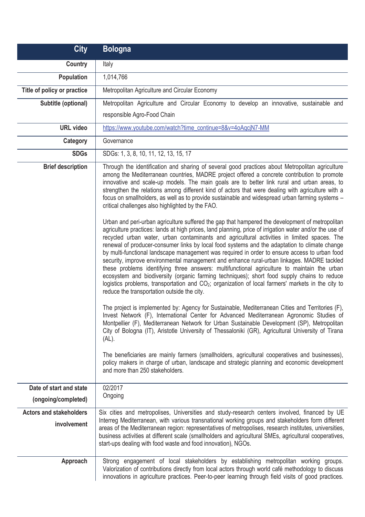| <b>City</b>                    | <b>Bologna</b>                                                                                                                                                                                                                                                                                                                                                                                                                                                                                                                                                                                                                                                                                                                                                                                                                                                                                                                                                                                                                                                                                                                                                                                                                                                                                                                                                                                                                                                                                                                                                                                                                                                                                                                                                                                                                                                                                                                                                                                                                                                                                                                                                                          |
|--------------------------------|-----------------------------------------------------------------------------------------------------------------------------------------------------------------------------------------------------------------------------------------------------------------------------------------------------------------------------------------------------------------------------------------------------------------------------------------------------------------------------------------------------------------------------------------------------------------------------------------------------------------------------------------------------------------------------------------------------------------------------------------------------------------------------------------------------------------------------------------------------------------------------------------------------------------------------------------------------------------------------------------------------------------------------------------------------------------------------------------------------------------------------------------------------------------------------------------------------------------------------------------------------------------------------------------------------------------------------------------------------------------------------------------------------------------------------------------------------------------------------------------------------------------------------------------------------------------------------------------------------------------------------------------------------------------------------------------------------------------------------------------------------------------------------------------------------------------------------------------------------------------------------------------------------------------------------------------------------------------------------------------------------------------------------------------------------------------------------------------------------------------------------------------------------------------------------------------|
| <b>Country</b>                 | Italy                                                                                                                                                                                                                                                                                                                                                                                                                                                                                                                                                                                                                                                                                                                                                                                                                                                                                                                                                                                                                                                                                                                                                                                                                                                                                                                                                                                                                                                                                                                                                                                                                                                                                                                                                                                                                                                                                                                                                                                                                                                                                                                                                                                   |
| <b>Population</b>              | 1,014,766                                                                                                                                                                                                                                                                                                                                                                                                                                                                                                                                                                                                                                                                                                                                                                                                                                                                                                                                                                                                                                                                                                                                                                                                                                                                                                                                                                                                                                                                                                                                                                                                                                                                                                                                                                                                                                                                                                                                                                                                                                                                                                                                                                               |
| Title of policy or practice    | Metropolitan Agriculture and Circular Economy                                                                                                                                                                                                                                                                                                                                                                                                                                                                                                                                                                                                                                                                                                                                                                                                                                                                                                                                                                                                                                                                                                                                                                                                                                                                                                                                                                                                                                                                                                                                                                                                                                                                                                                                                                                                                                                                                                                                                                                                                                                                                                                                           |
| Subtitle (optional)            | Metropolitan Agriculture and Circular Economy to develop an innovative, sustainable and                                                                                                                                                                                                                                                                                                                                                                                                                                                                                                                                                                                                                                                                                                                                                                                                                                                                                                                                                                                                                                                                                                                                                                                                                                                                                                                                                                                                                                                                                                                                                                                                                                                                                                                                                                                                                                                                                                                                                                                                                                                                                                 |
|                                | responsible Agro-Food Chain                                                                                                                                                                                                                                                                                                                                                                                                                                                                                                                                                                                                                                                                                                                                                                                                                                                                                                                                                                                                                                                                                                                                                                                                                                                                                                                                                                                                                                                                                                                                                                                                                                                                                                                                                                                                                                                                                                                                                                                                                                                                                                                                                             |
| <b>URL video</b>               | https://www.youtube.com/watch?time_continue=8&v=4oAqcjN7-MM                                                                                                                                                                                                                                                                                                                                                                                                                                                                                                                                                                                                                                                                                                                                                                                                                                                                                                                                                                                                                                                                                                                                                                                                                                                                                                                                                                                                                                                                                                                                                                                                                                                                                                                                                                                                                                                                                                                                                                                                                                                                                                                             |
| Category                       | Governance                                                                                                                                                                                                                                                                                                                                                                                                                                                                                                                                                                                                                                                                                                                                                                                                                                                                                                                                                                                                                                                                                                                                                                                                                                                                                                                                                                                                                                                                                                                                                                                                                                                                                                                                                                                                                                                                                                                                                                                                                                                                                                                                                                              |
| <b>SDGs</b>                    | SDGs: 1, 3, 8, 10, 11, 12, 13, 15, 17                                                                                                                                                                                                                                                                                                                                                                                                                                                                                                                                                                                                                                                                                                                                                                                                                                                                                                                                                                                                                                                                                                                                                                                                                                                                                                                                                                                                                                                                                                                                                                                                                                                                                                                                                                                                                                                                                                                                                                                                                                                                                                                                                   |
| <b>Brief description</b>       | Through the identification and sharing of several good practices about Metropolitan agriculture<br>among the Mediterranean countries, MADRE project offered a concrete contribution to promote<br>innovative and scale-up models. The main goals are to better link rural and urban areas, to<br>strengthen the relations among different kind of actors that were dealing with agriculture with a<br>focus on smallholders, as well as to provide sustainable and widespread urban farming systems -<br>critical challenges also highlighted by the FAO.<br>Urban and peri-urban agriculture suffered the gap that hampered the development of metropolitan<br>agriculture practices: lands at high prices, land planning, price of irrigation water and/or the use of<br>recycled urban water, urban contaminants and agricultural activities in limited spaces. The<br>renewal of producer-consumer links by local food systems and the adaptation to climate change<br>by multi-functional landscape management was required in order to ensure access to urban food<br>security, improve environmental management and enhance rural-urban linkages. MADRE tackled<br>these problems identifying three answers: multifunctional agriculture to maintain the urban<br>ecosystem and biodiversity (organic farming techniques); short food supply chains to reduce<br>logistics problems, transportation and CO <sub>2</sub> ; organization of local farmers' markets in the city to<br>reduce the transportation outside the city.<br>The project is implemented by: Agency for Sustainable, Mediterranean Cities and Territories (F),<br>Invest Network (F), International Center for Advanced Mediterranean Agronomic Studies of<br>Montpellier (F), Mediterranean Network for Urban Sustainable Development (SP), Metropolitan<br>City of Bologna (IT), Aristotle University of Thessaloniki (GR), Agricultural University of Tirana<br>(AL).<br>The beneficiaries are mainly farmers (smallholders, agricultural cooperatives and businesses),<br>policy makers in charge of urban, landscape and strategic planning and economic development<br>and more than 250 stakeholders. |
| Date of start and state        | 02/2017                                                                                                                                                                                                                                                                                                                                                                                                                                                                                                                                                                                                                                                                                                                                                                                                                                                                                                                                                                                                                                                                                                                                                                                                                                                                                                                                                                                                                                                                                                                                                                                                                                                                                                                                                                                                                                                                                                                                                                                                                                                                                                                                                                                 |
| (ongoing/completed)            | Ongoing                                                                                                                                                                                                                                                                                                                                                                                                                                                                                                                                                                                                                                                                                                                                                                                                                                                                                                                                                                                                                                                                                                                                                                                                                                                                                                                                                                                                                                                                                                                                                                                                                                                                                                                                                                                                                                                                                                                                                                                                                                                                                                                                                                                 |
| <b>Actors and stakeholders</b> | Six cities and metropolises, Universities and study-research centers involved, financed by UE                                                                                                                                                                                                                                                                                                                                                                                                                                                                                                                                                                                                                                                                                                                                                                                                                                                                                                                                                                                                                                                                                                                                                                                                                                                                                                                                                                                                                                                                                                                                                                                                                                                                                                                                                                                                                                                                                                                                                                                                                                                                                           |
| involvement                    | Interreg Mediterranean, with various transnational working groups and stakeholders form different<br>areas of the Mediterranean region: representatives of metropolises, research institutes, universities,<br>business activities at different scale (smallholders and agricultural SMEs, agricultural cooperatives,<br>start-ups dealing with food waste and food innovation), NGOs.                                                                                                                                                                                                                                                                                                                                                                                                                                                                                                                                                                                                                                                                                                                                                                                                                                                                                                                                                                                                                                                                                                                                                                                                                                                                                                                                                                                                                                                                                                                                                                                                                                                                                                                                                                                                  |
| Approach                       | Strong engagement of local stakeholders by establishing metropolitan working groups.<br>Valorization of contributions directly from local actors through world café methodology to discuss<br>innovations in agriculture practices. Peer-to-peer learning through field visits of good practices.                                                                                                                                                                                                                                                                                                                                                                                                                                                                                                                                                                                                                                                                                                                                                                                                                                                                                                                                                                                                                                                                                                                                                                                                                                                                                                                                                                                                                                                                                                                                                                                                                                                                                                                                                                                                                                                                                       |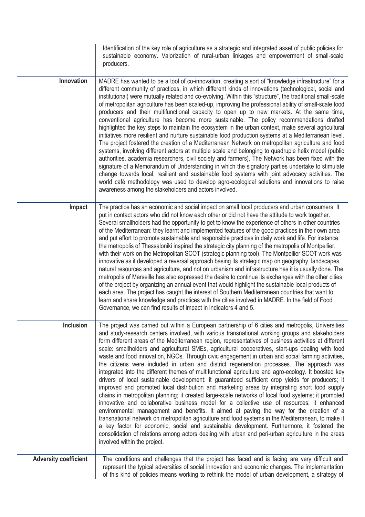|                              | Identification of the key role of agriculture as a strategic and integrated asset of public policies for<br>sustainable economy. Valorization of rural-urban linkages and empowerment of small-scale<br>producers.                                                                                                                                                                                                                                                                                                                                                                                                                                                                                                                                                                                                                                                                                                                                                                                                                                                                                                                                                                                                                                                                                                                                                                                                                                                                                                                                                             |
|------------------------------|--------------------------------------------------------------------------------------------------------------------------------------------------------------------------------------------------------------------------------------------------------------------------------------------------------------------------------------------------------------------------------------------------------------------------------------------------------------------------------------------------------------------------------------------------------------------------------------------------------------------------------------------------------------------------------------------------------------------------------------------------------------------------------------------------------------------------------------------------------------------------------------------------------------------------------------------------------------------------------------------------------------------------------------------------------------------------------------------------------------------------------------------------------------------------------------------------------------------------------------------------------------------------------------------------------------------------------------------------------------------------------------------------------------------------------------------------------------------------------------------------------------------------------------------------------------------------------|
| Innovation                   | MADRE has wanted to be a tool of co-innovation, creating a sort of "knowledge infrastructure" for a<br>different community of practices, in which different kinds of innovations (technological, social and<br>institutional) were mutually related and co-evolving. Within this "structure", the traditional small-scale<br>of metropolitan agriculture has been scaled-up, improving the professional ability of small-scale food<br>producers and their multifunctional capacity to open up to new markets. At the same time,<br>conventional agriculture has become more sustainable. The policy recommendations drafted<br>highlighted the key steps to maintain the ecosystem in the urban context, make several agricultural<br>initiatives more resilient and nurture sustainable food production systems at a Mediterranean level.<br>The project fostered the creation of a Mediterranean Network on metropolitan agriculture and food<br>systems, involving different actors at multiple scale and belonging to quadruple helix model (public<br>authorities, academia researchers, civil society and farmers). The Network has been fixed with the<br>signature of a Memorandum of Understanding in which the signatory parties undertake to stimulate<br>change towards local, resilient and sustainable food systems with joint advocacy activities. The<br>world café methodology was used to develop agro-ecological solutions and innovations to raise<br>awareness among the stakeholders and actors involved.                                               |
| Impact                       | The practice has an economic and social impact on small local producers and urban consumers. It<br>put in contact actors who did not know each other or did not have the attitude to work together.<br>Several smallholders had the opportunity to get to know the experience of others in other countries<br>of the Mediterranean: they learnt and implemented features of the good practices in their own area<br>and put effort to promote sustainable and responsible practices in daily work and life. For instance,<br>the metropolis of Thessaloniki inspired the strategic city planning of the metropolis of Montpellier,<br>with their work on the Metropolitan SCOT (strategic planning tool). The Montpellier SCOT work was<br>innovative as it developed a reversal approach basing its strategic map on geography, landscapes,<br>natural resources and agriculture, and not on urbanism and infrastructure has it is usually done. The<br>metropolis of Marseille has also expressed the desire to continue its exchanges with the other cities<br>of the project by organizing an annual event that would highlight the sustainable local products of<br>each area. The project has caught the interest of Southern Mediterranean countries that want to<br>learn and share knowledge and practices with the cities involved in MADRE. In the field of Food<br>Governance, we can find results of impact in indicators 4 and 5.                                                                                                                                |
| <b>Inclusion</b>             | The project was carried out within a European partnership of 6 cities and metropolis, Universities<br>and study-research centers involved, with various transnational working groups and stakeholders<br>form different areas of the Mediterranean region, representatives of business activities at different<br>scale: smallholders and agricultural SMEs, agricultural cooperatives, start-ups dealing with food<br>waste and food innovation, NGOs. Through civic engagement in urban and social farming activities,<br>the citizens were included in urban and district regeneration processes. The approach was<br>integrated into the different themes of multifunctional agriculture and agro-ecology. It boosted key<br>drivers of local sustainable development: it guaranteed sufficient crop yields for producers; it<br>improved and promoted local distribution and marketing areas by integrating short food supply<br>chains in metropolitan planning; it created large-scale networks of local food systems; it promoted<br>innovative and collaborative business model for a collective use of resources; it enhanced<br>environmental management and benefits. It aimed at paving the way for the creation of a<br>transnational network on metropolitan agriculture and food systems in the Mediterranean, to make it<br>a key factor for economic, social and sustainable development. Furthermore, it fostered the<br>consolidation of relations among actors dealing with urban and peri-urban agriculture in the areas<br>involved within the project. |
| <b>Adversity coefficient</b> | The conditions and challenges that the project has faced and is facing are very difficult and<br>represent the typical adversities of social innovation and economic changes. The implementation<br>of this kind of policies means working to rethink the model of urban development, a strategy of                                                                                                                                                                                                                                                                                                                                                                                                                                                                                                                                                                                                                                                                                                                                                                                                                                                                                                                                                                                                                                                                                                                                                                                                                                                                            |